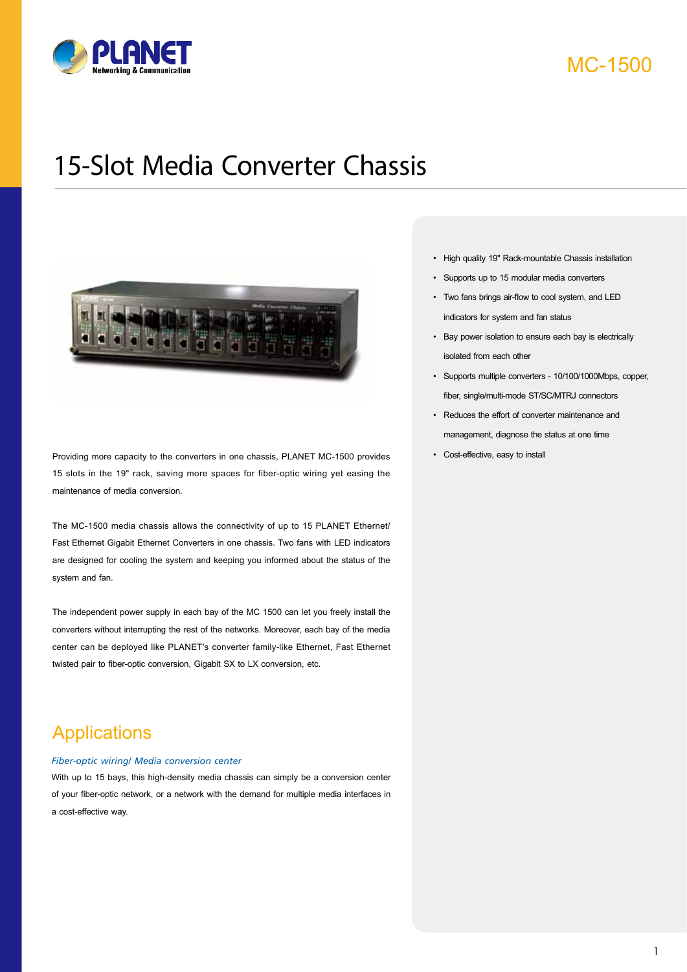

#### MC-1500

# 15-Slot Media Converter Chassis



Providing more capacity to the converters in one chassis, PLANET MC-1500 provides 15 slots in the 19" rack, saving more spaces for fiber-optic wiring yet easing the maintenance of media conversion.

The MC-1500 media chassis allows the connectivity of up to 15 PLANET Ethernet/ Fast Ethernet Gigabit Ethernet Converters in one chassis. Two fans with LED indicators are designed for cooling the system and keeping you informed about the status of the system and fan.

The independent power supply in each bay of the MC 1500 can let you freely install the converters without interrupting the rest of the networks. Moreover, each bay of the media center can be deployed like PLANET's converter family-like Ethernet, Fast Ethernet twisted pair to fiber-optic conversion, Gigabit SX to LX conversion, etc.

## **Applications**

#### *Fiber-optic wiring/ Media conversion center*

With up to 15 bays, this high-density media chassis can simply be a conversion center of your fiber-optic network, or a network with the demand for multiple media interfaces in a cost-effective way.

- High quality 19" Rack-mountable Chassis installation
- Supports up to 15 modular media converters
- Two fans brings air-flow to cool system, and LED indicators for system and fan status
- Bay power isolation to ensure each bay is electrically isolated from each other
- Supports multiple converters 10/100/1000Mbps, copper, fiber, single/multi-mode ST/SC/MTRJ connectors
- Reduces the effort of converter maintenance and management, diagnose the status at one time
- Cost-effective, easy to install